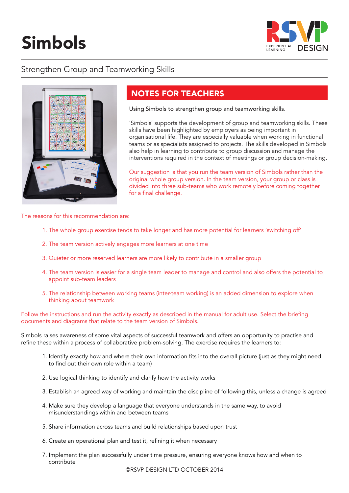# Simbols



## Strengthen Group and Teamworking Skills



# NOTES FOR TEACHERS

Using Simbols to strengthen group and teamworking skills.

'Simbols' supports the development of group and teamworking skills. These skills have been highlighted by employers as being important in organisational life. They are especially valuable when working in functional teams or as specialists assigned to projects. The skills developed in Simbols also help in learning to contribute to group discussion and manage the interventions required in the context of meetings or group decision-making.

Our suggestion is that you run the team version of Simbols rather than the original whole group version. In the team version, your group or class is divided into three sub-teams who work remotely before coming together for a final challenge.

The reasons for this recommendation are:

- 1. The whole group exercise tends to take longer and has more potential for learners 'switching off'
- 2. The team version actively engages more learners at one time
- 3. Quieter or more reserved learners are more likely to contribute in a smaller group
- 4. The team version is easier for a single team leader to manage and control and also offers the potential to appoint sub-team leaders
- 5. The relationship between working teams (inter-team working) is an added dimension to explore when thinking about teamwork

Follow the instructions and run the activity exactly as described in the manual for adult use. Select the briefing documents and diagrams that relate to the team version of Simbols.

Simbols raises awareness of some vital aspects of successful teamwork and offers an opportunity to practise and refine these within a process of collaborative problem-solving. The exercise requires the learners to:

- 1. Identify exactly how and where their own information fits into the overall picture (just as they might need to find out their own role within a team)
- 2. Use logical thinking to identify and clarify how the activity works
- 3. Establish an agreed way of working and maintain the discipline of following this, unless a change is agreed
- 4. Make sure they develop a language that everyone understands in the same way, to avoid misunderstandings within and between teams
- 5. Share information across teams and build relationships based upon trust
- 6. Create an operational plan and test it, refining it when necessary
- 7. Implement the plan successfully under time pressure, ensuring everyone knows how and when to contribute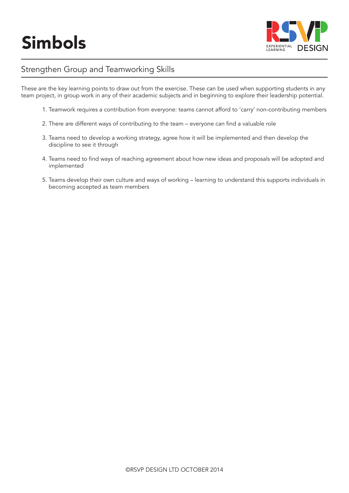

## Strengthen Group and Teamworking Skills

These are the key learning points to draw out from the exercise. These can be used when supporting students in any team project, in group work in any of their academic subjects and in beginning to explore their leadership potential.

- 1. Teamwork requires a contribution from everyone: teams cannot afford to 'carry' non-contributing members
- 2. There are different ways of contributing to the team everyone can find a valuable role
- 3. Teams need to develop a working strategy, agree how it will be implemented and then develop the discipline to see it through
- 4. Teams need to find ways of reaching agreement about how new ideas and proposals will be adopted and implemented
- 5. Teams develop their own culture and ways of working learning to understand this supports individuals in becoming accepted as team members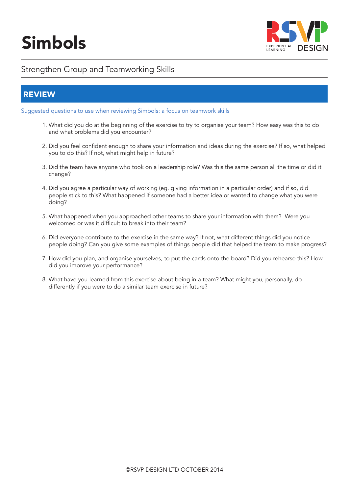

### Strengthen Group and Teamworking Skills

#### REVIEW

Suggested questions to use when reviewing Simbols: a focus on teamwork skills

- 1. What did you do at the beginning of the exercise to try to organise your team? How easy was this to do and what problems did you encounter?
- 2. Did you feel confident enough to share your information and ideas during the exercise? If so, what helped you to do this? If not, what might help in future?
- 3. Did the team have anyone who took on a leadership role? Was this the same person all the time or did it change?
- 4. Did you agree a particular way of working (eg. giving information in a particular order) and if so, did people stick to this? What happened if someone had a better idea or wanted to change what you were doing?
- 5. What happened when you approached other teams to share your information with them? Were you welcomed or was it difficult to break into their team?
- 6. Did everyone contribute to the exercise in the same way? If not, what different things did you notice people doing? Can you give some examples of things people did that helped the team to make progress?
- 7. How did you plan, and organise yourselves, to put the cards onto the board? Did you rehearse this? How did you improve your performance?
- 8. What have you learned from this exercise about being in a team? What might you, personally, do differently if you were to do a similar team exercise in future?